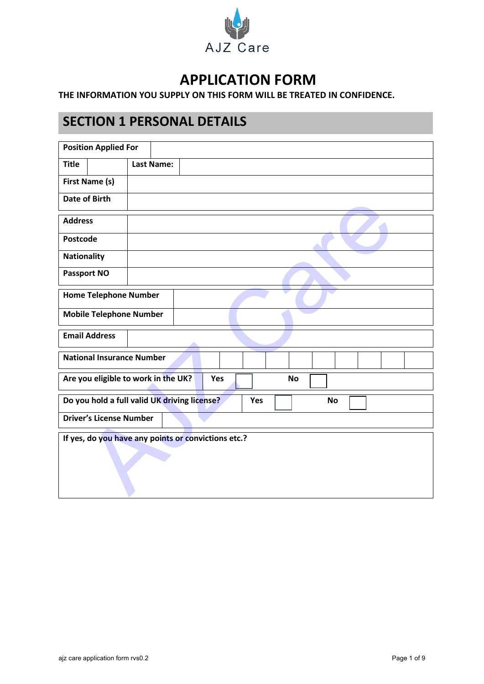

# **APPLICATION FORM**

### **THE INFORMATION YOU SUPPLY ON THIS FORM WILL BE TREATED IN CONFIDENCE.**

## **SECTION 1 PERSONAL DETAILS**

| <b>Position Applied For</b>                                      |  |  |  |
|------------------------------------------------------------------|--|--|--|
| <b>Title</b><br><b>Last Name:</b>                                |  |  |  |
| First Name (s)                                                   |  |  |  |
| <b>Date of Birth</b>                                             |  |  |  |
| <b>Address</b>                                                   |  |  |  |
| <b>Postcode</b>                                                  |  |  |  |
| Nationality                                                      |  |  |  |
| <b>Passport NO</b>                                               |  |  |  |
| <b>Home Telephone Number</b>                                     |  |  |  |
| <b>Mobile Telephone Number</b>                                   |  |  |  |
| <b>Email Address</b>                                             |  |  |  |
| <b>National Insurance Number</b>                                 |  |  |  |
| Are you eligible to work in the UK?<br><b>Yes</b><br><b>No</b>   |  |  |  |
| Do you hold a full valid UK driving license?<br>Yes<br><b>No</b> |  |  |  |
| <b>Driver's License Number</b>                                   |  |  |  |
| If yes, do you have any points or convictions etc.?              |  |  |  |
|                                                                  |  |  |  |
|                                                                  |  |  |  |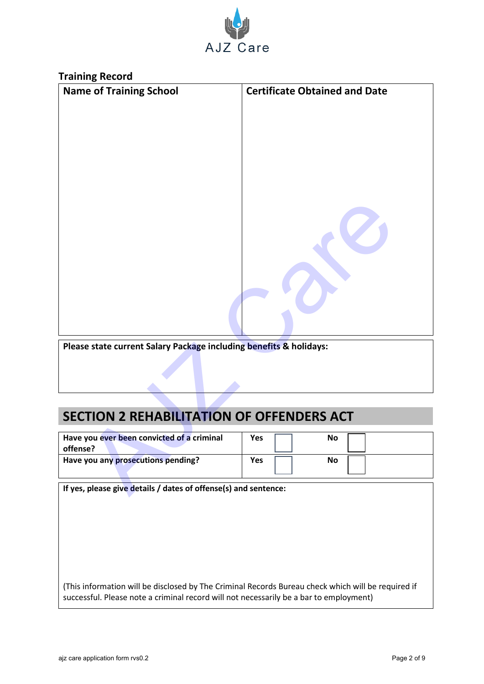

| <b>Training Record</b>                                             |                                      |
|--------------------------------------------------------------------|--------------------------------------|
| <b>Name of Training School</b>                                     | <b>Certificate Obtained and Date</b> |
|                                                                    |                                      |
|                                                                    |                                      |
|                                                                    |                                      |
|                                                                    |                                      |
|                                                                    |                                      |
|                                                                    |                                      |
|                                                                    |                                      |
|                                                                    |                                      |
|                                                                    |                                      |
|                                                                    |                                      |
|                                                                    |                                      |
|                                                                    |                                      |
|                                                                    |                                      |
|                                                                    |                                      |
|                                                                    |                                      |
|                                                                    |                                      |
| Please state current Salary Package including benefits & holidays: |                                      |
|                                                                    |                                      |
|                                                                    |                                      |
|                                                                    |                                      |
|                                                                    |                                      |
| <b>SECTION 2 REHABILITATION OF OFFENDERS ACT</b>                   |                                      |
| Have you ever been convicted of a criminal                         | Yes<br><b>No</b>                     |
| offense?                                                           |                                      |
| Have you any prosecutions pending?                                 | <b>Yes</b><br><b>No</b>              |
|                                                                    |                                      |
| If yes, please give details / dates of offense(s) and sentence:    |                                      |

# **SECTION 2 REHABILITATION OF OFFENDERS ACT**

| Have you ever been convicted of a criminal | <b>Yes</b> | No |
|--------------------------------------------|------------|----|
| offense?                                   |            |    |
| Have you any prosecutions pending?         | Yes        | No |
|                                            |            |    |

(This information will be disclosed by The Criminal Records Bureau check which will be required if successful. Please note a criminal record will not necessarily be a bar to employment)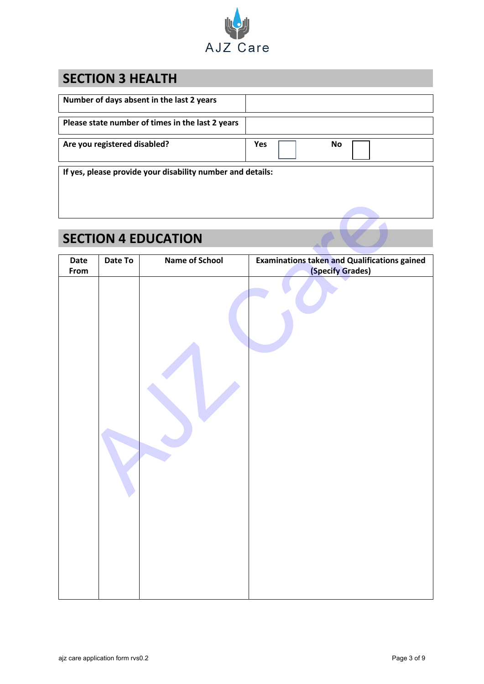

# **SECTION 3 HEALTH**

| Number of days absent in the last 2 years                  |     |    |
|------------------------------------------------------------|-----|----|
| Please state number of times in the last 2 years           |     |    |
| Are you registered disabled?                               | Yes | No |
| If yes, please provide your disability number and details: |     |    |

# **SECTION 4 EDUCATION**

|      |         | <b>SECTION 4 EDUCATION</b> |                                                     |
|------|---------|----------------------------|-----------------------------------------------------|
| Date | Date To | <b>Name of School</b>      | <b>Examinations taken and Qualifications gained</b> |
| From |         |                            |                                                     |
|      |         |                            | (Specify Grades)                                    |
|      |         |                            |                                                     |
|      |         |                            |                                                     |
|      |         |                            |                                                     |
|      |         |                            |                                                     |
|      |         |                            |                                                     |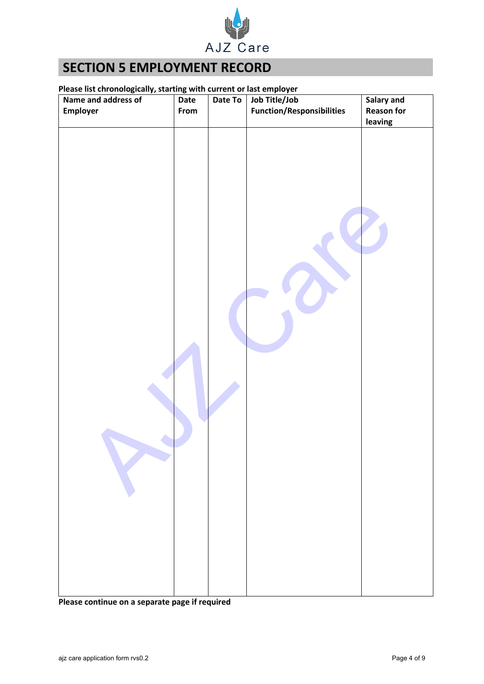

## **SECTION 5 EMPLOYMENT RECORD**

### **Please list chronologically, starting with current or last employer**

| Name and address of | - כי ס<br>Date | Date To | Job Title/Job                    | Salary and        |
|---------------------|----------------|---------|----------------------------------|-------------------|
| Employer            | From           |         | <b>Function/Responsibilities</b> | <b>Reason for</b> |
|                     |                |         |                                  | leaving           |
|                     |                |         |                                  |                   |
|                     |                |         |                                  |                   |

**Please continue on a separate page if required**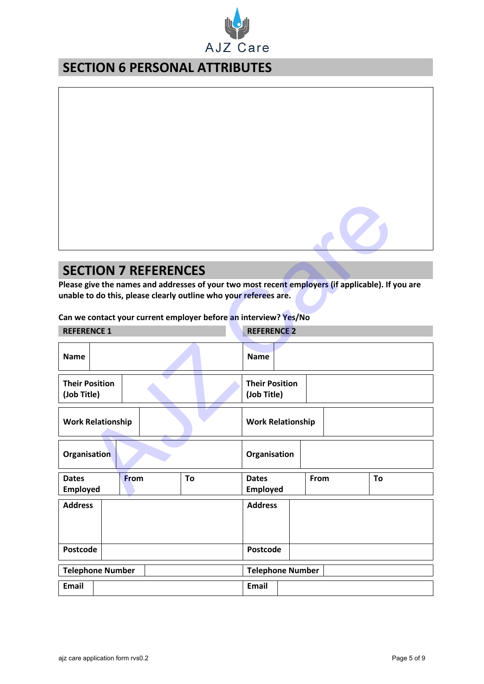

## **SECTION 6 PERSONAL ATTRIBUTES**

## **SECTION 7 REFERENCES**

| <b>SECTION 7 REFERENCES</b>                                                                                                                                           |                                               |  |  |  |
|-----------------------------------------------------------------------------------------------------------------------------------------------------------------------|-----------------------------------------------|--|--|--|
| Please give the names and addresses of your two most recent employers (if applicable). If you are<br>unable to do this, please clearly outline who your referees are. |                                               |  |  |  |
| Can we contact your current employer before an interview? Yes/No                                                                                                      |                                               |  |  |  |
| <b>REFERENCE 1</b>                                                                                                                                                    | <b>REFERENCE 2</b>                            |  |  |  |
| <b>Name</b>                                                                                                                                                           | <b>Name</b>                                   |  |  |  |
| <b>Their Position</b><br>(Job Title)                                                                                                                                  | <b>Their Position</b><br>(Job Title)          |  |  |  |
| <b>Work Relationship</b>                                                                                                                                              | <b>Work Relationship</b>                      |  |  |  |
| Organisation                                                                                                                                                          | Organisation                                  |  |  |  |
| <b>Dates</b><br><b>From</b><br>Τo<br><b>Employed</b>                                                                                                                  | From<br>To<br><b>Dates</b><br><b>Employed</b> |  |  |  |
| <b>Address</b>                                                                                                                                                        | <b>Address</b>                                |  |  |  |
| Postcode                                                                                                                                                              | Postcode                                      |  |  |  |
| <b>Telephone Number</b>                                                                                                                                               | <b>Telephone Number</b>                       |  |  |  |
| <b>Email</b>                                                                                                                                                          | Email                                         |  |  |  |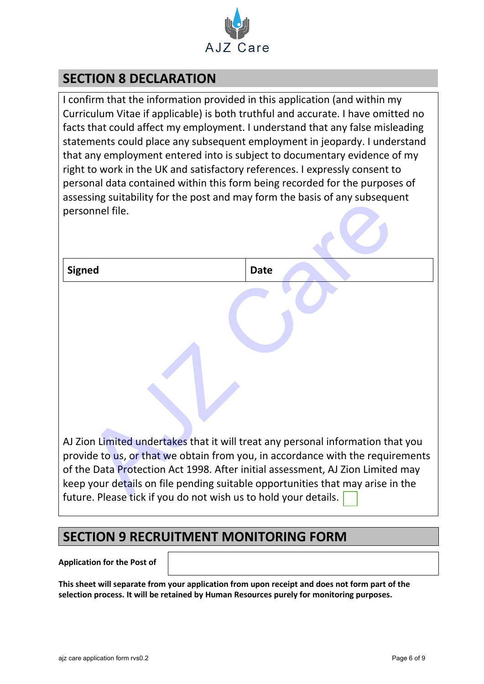

## **SECTION 8 DECLARATION**

I confirm that the information provided in this application (and within my Curriculum Vitae if applicable) is both truthful and accurate. I have omitted no facts that could affect my employment. I understand that any false misleading statements could place any subsequent employment in jeopardy. I understand that any employment entered into is subject to documentary evidence of my right to work in the UK and satisfactory references. I expressly consent to personal data contained within this form being recorded for the purposes of assessing suitability for the post and may form the basis of any subsequent personnel file.

| assessing suitability for the post and may form the basis of any subsequent                                                                                                                                                                                                                                            |                                                                                |
|------------------------------------------------------------------------------------------------------------------------------------------------------------------------------------------------------------------------------------------------------------------------------------------------------------------------|--------------------------------------------------------------------------------|
| personnel file.                                                                                                                                                                                                                                                                                                        |                                                                                |
| <b>Signed</b>                                                                                                                                                                                                                                                                                                          | <b>Date</b>                                                                    |
| AJ Zion Limited undertakes that it will treat any personal information that you<br>of the Data Protection Act 1998. After initial assessment, AJ Zion Limited may<br>keep your details on file pending suitable opportunities that may arise in the<br>future. Please tick if you do not wish us to hold your details. | provide to us, or that we obtain from you, in accordance with the requirements |

## **SECTION 9 RECRUITMENT MONITORING FORM**

**Application for the Post of** 

**This sheet will separate from your application from upon receipt and does not form part of the selection process. It will be retained by Human Resources purely for monitoring purposes.**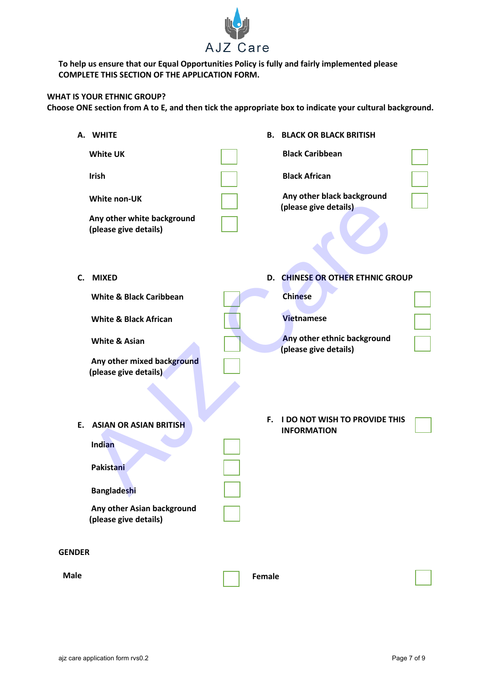

**To help us ensure that our Equal Opportunities Policy is fully and fairly implemented please COMPLETE THIS SECTION OF THE APPLICATION FORM.**

### **WHAT IS YOUR ETHNIC GROUP?**

**Choose ONE section from A to E, and then tick the appropriate box to indicate your cultural background.**

|               | A. WHITE                                                                                                                                                              | В.     | <b>BLACK OR BLACK BRITISH</b>                                                                                                   |  |
|---------------|-----------------------------------------------------------------------------------------------------------------------------------------------------------------------|--------|---------------------------------------------------------------------------------------------------------------------------------|--|
|               | <b>White UK</b>                                                                                                                                                       |        | <b>Black Caribbean</b>                                                                                                          |  |
|               | Irish                                                                                                                                                                 |        | <b>Black African</b>                                                                                                            |  |
|               | White non-UK<br>Any other white background<br>(please give details)                                                                                                   |        | Any other black background<br>(please give details)                                                                             |  |
|               | C. MIXED<br><b>White &amp; Black Caribbean</b><br><b>White &amp; Black African</b><br><b>White &amp; Asian</b><br>Any other mixed background<br>(please give details) |        | D. CHINESE OR OTHER ETHNIC GROUP<br><b>Chinese</b><br><b>Vietnamese</b><br>Any other ethnic background<br>(please give details) |  |
| E.            | <b>ASIAN OR ASIAN BRITISH</b><br>Indian<br><b>Pakistani</b><br><b>Bangladeshi</b><br>Any other Asian background<br>(please give details)                              | F.     | <b>I DO NOT WISH TO PROVIDE THIS</b><br><b>INFORMATION</b>                                                                      |  |
| <b>GENDER</b> |                                                                                                                                                                       |        |                                                                                                                                 |  |
| <b>Male</b>   |                                                                                                                                                                       | Female |                                                                                                                                 |  |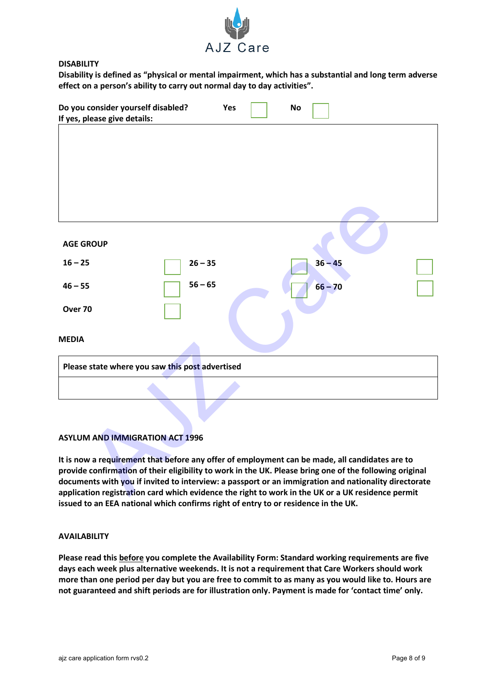

### **DISABILITY**

**Disability is defined as "physical or mental impairment, which has a substantial and long term adverse effect on a person's ability to carry out normal day to day activities".**

| Do you consider yourself disabled?                                                                                                                                                                              | Yes       | <b>No</b> |  |
|-----------------------------------------------------------------------------------------------------------------------------------------------------------------------------------------------------------------|-----------|-----------|--|
| If yes, please give details:                                                                                                                                                                                    |           |           |  |
|                                                                                                                                                                                                                 |           |           |  |
|                                                                                                                                                                                                                 |           |           |  |
| <b>AGE GROUP</b>                                                                                                                                                                                                |           |           |  |
| $16 - 25$                                                                                                                                                                                                       | $26 - 35$ | $36 - 45$ |  |
| $46 - 55$                                                                                                                                                                                                       | $56 - 65$ | $66 - 70$ |  |
| Over 70                                                                                                                                                                                                         |           |           |  |
| <b>MEDIA</b>                                                                                                                                                                                                    |           |           |  |
| Please state where you saw this post advertised                                                                                                                                                                 |           |           |  |
|                                                                                                                                                                                                                 |           |           |  |
|                                                                                                                                                                                                                 |           |           |  |
| <b>ASYLUM AND IMMIGRATION ACT 1996</b>                                                                                                                                                                          |           |           |  |
| It is now a requirement that before any offer of employment can be made, all candidates are to                                                                                                                  |           |           |  |
| provide confirmation of their eligibility to work in the UK. Please bring one of the following original<br>documents with you if invited to interview: a passport or an immigration and nationality directorate |           |           |  |
| application registration card which evidence the right to work in the UK or a UK residence permit                                                                                                               |           |           |  |

### **ASYLUM AND IMMIGRATION ACT 1996**

**It is now a requirement that before any offer of employment can be made, all candidates are to provide confirmation of their eligibility to work in the UK. Please bring one of the following original documents with you if invited to interview: a passport or an immigration and nationality directorate application registration card which evidence the right to work in the UK or a UK residence permit issued to an EEA national which confirms right of entry to or residence in the UK.**

### **AVAILABILITY**

**Please read this before you complete the Availability Form: Standard working requirements are five days each week plus alternative weekends. It is not a requirement that Care Workers should work more than one period per day but you are free to commit to as many as you would like to. Hours are not guaranteed and shift periods are for illustration only. Payment is made for 'contact time' only.**